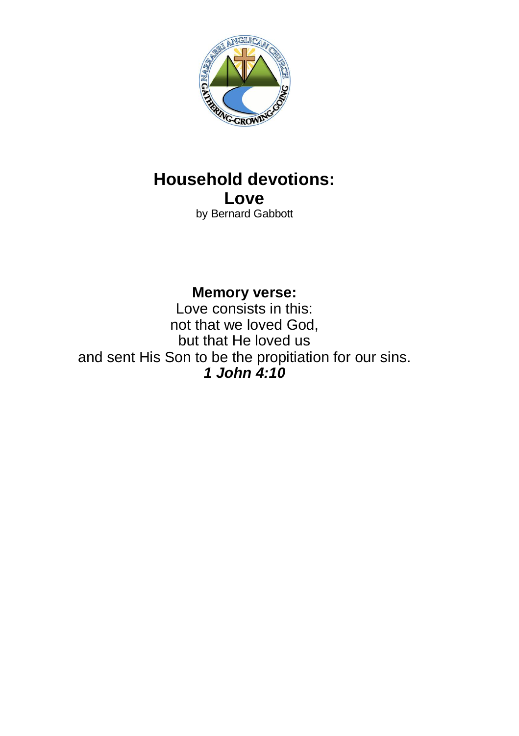

# **Household devotions: Love**

by Bernard Gabbott

**Memory verse:** Love consists in this: not that we loved God, but that He loved us and sent His Son to be the propitiation for our sins. *1 John 4:10*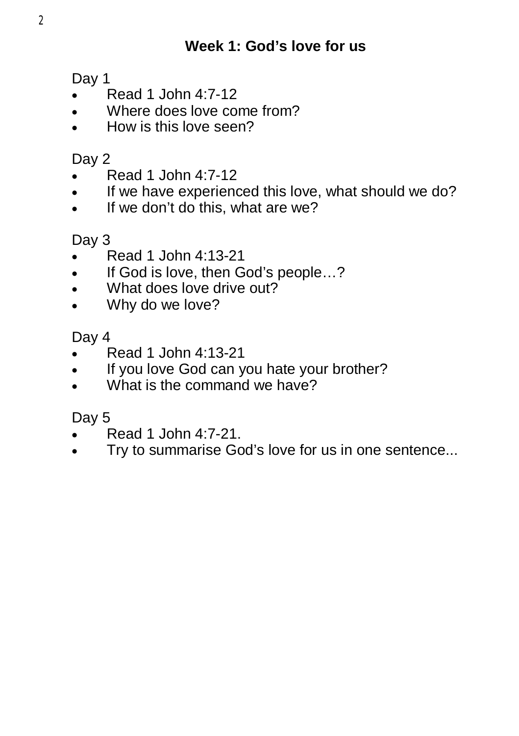Day 1

- Read 1 John 4:7-12
- Where does love come from?
- How is this love seen?

# Day 2

- $\bullet$  Read 1 John 4:7-12
- If we have experienced this love, what should we do?
- $\bullet$  If we don't do this, what are we?

# Day 3

- Read 1 John 4:13-21
- If God is love, then God's people...?
- What does love drive out?
- Why do we love?

## Day 4

- Read 1 John 4:13-21
- If you love God can you hate your brother?
- What is the command we have?

- Read 1 John 4:7-21.
- Try to summarise God's love for us in one sentence...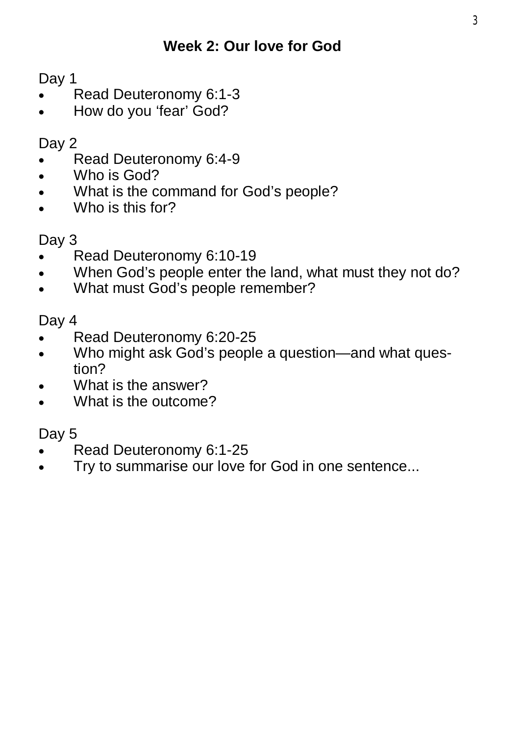Day 1

- Read Deuteronomy 6:1-3
- How do you 'fear' God?

Day 2

- Read Deuteronomy 6:4-9
- . Who is God?
- What is the command for God's people?
- Who is this for?

## Day 3

- Read Deuteronomy 6:10-19
- When God's people enter the land, what must they not do?
- What must God's people remember?

Day 4

- Read Deuteronomy 6:20-25
- Who might ask God's people a question—and what question?
- What is the answer?
- What is the outcome?

- Read Deuteronomy 6:1-25
- Try to summarise our love for God in one sentence...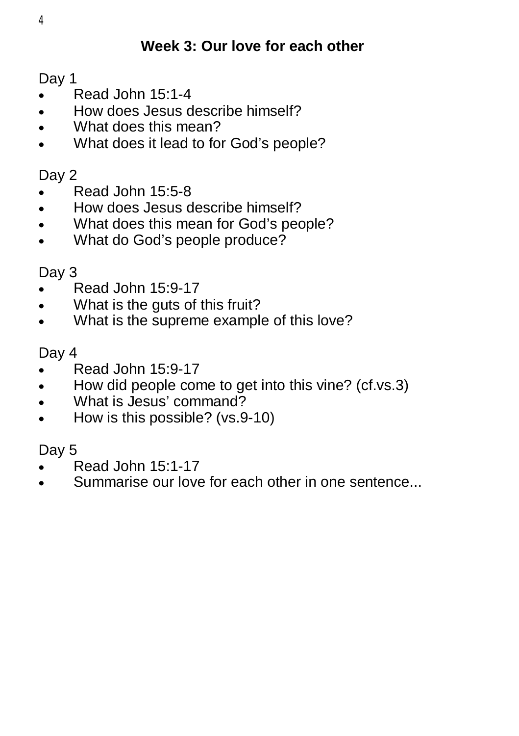# **Week 3: Our love for each other**

Day 1

- Read John 15:1-4
- How does Jesus describe himself?
- What does this mean?
- What does it lead to for God's people?

#### Day 2

- Read John 15:5-8
- How does Jesus describe himself?
- What does this mean for God's people?
- What do God's people produce?

## Day 3

- Read John 15:9-17
- What is the guts of this fruit?
- What is the supreme example of this love?

## Day 4

- $\bullet$  Read John 15:9-17
- How did people come to get into this vine? (cf.vs.3)
- What is Jesus' command?
- How is this possible? (vs.9-10)

- Read John 15:1-17
- Summarise our love for each other in one sentence...